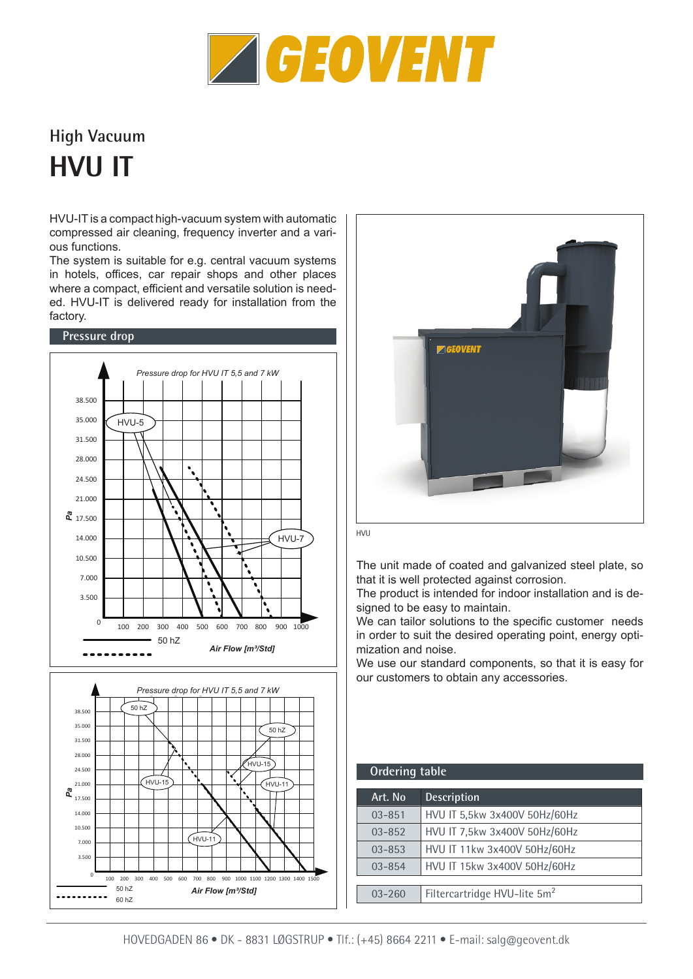

## **High Vacuum HVU IT**

HVU-IT is a compact high-vacuum system with automatic compressed air cleaning, frequency inverter and a various functions.

The system is suitable for e.g. central vacuum systems in hotels, offices, car repair shops and other places where a compact, efficient and versatile solution is needed. HVU-IT is delivered ready for installation from the factory.







The unit made of coated and galvanized steel plate, so that it is well protected against corrosion.

The product is intended for indoor installation and is designed to be easy to maintain.

We can tailor solutions to the specific customer needs in order to suit the desired operating point, energy optimization and noise.

We use our standard components, so that it is easy for our customers to obtain any accessories.

| <b>Ordering table</b> |                                          |
|-----------------------|------------------------------------------|
| Art. No               | <b>Description</b>                       |
| $03 - 851$            | HVU IT 5,5kw 3x400V 50Hz/60Hz            |
| $03 - 852$            | HVU IT 7,5kw 3x400V 50Hz/60Hz            |
| $03 - 853$            | HVU IT 11kw 3x400V 50Hz/60Hz             |
| $03 - 854$            | HVU IT 15kw 3x400V 50Hz/60Hz             |
|                       |                                          |
| 03-260                | Filtercartridge HVU-lite 5m <sup>2</sup> |
|                       |                                          |